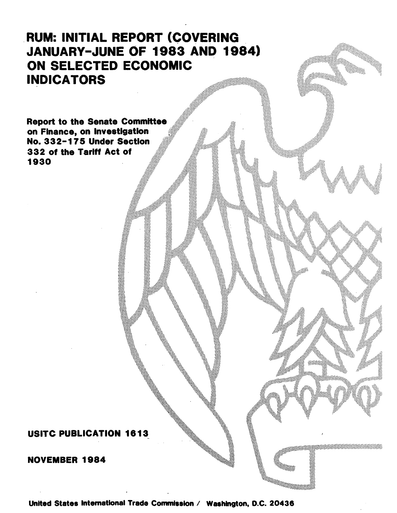# .RUM: INITIAL REPORT {COVERING JANUARY-JUNE OF 1983 AND 1984) ON SELECTED ECONOMIC INDICATORS

Report to the Senate Committee on Finance, on Investigation No. 332-175 Under Section 332 of the Tariff Act of 1930

# USITC PUBLICATION 1613

NOVEMBER 1984

United States International Trade Commission / Washington, D.C. 20436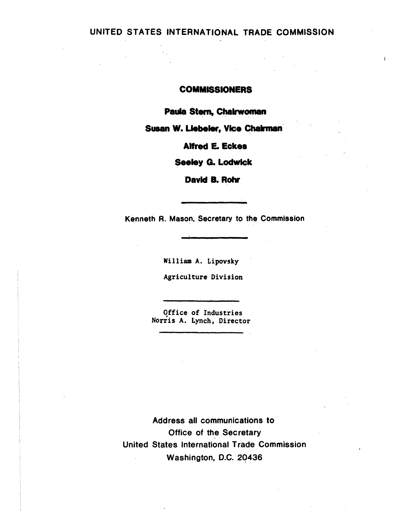## UNITED STATES INTERNATIONAL TRADE COMMISSION

### **COMMISSIONERS**

**Paula Stern, Chairwoman** 

**Susan W. Liebeler, Vice Chairman** 

**Alfred E. Eckes** 

**Seeley G. Lodwick** 

**·oavld a. Rohr** 

Kenneth R. Mason, Secretary to the Commission

William A. Lipovsky

Agriculture Division

Office of Industries Norris A. Lynch, Director

Address all communications to Office of the Secretary United States International Trade Commission Washington, D.C. 20436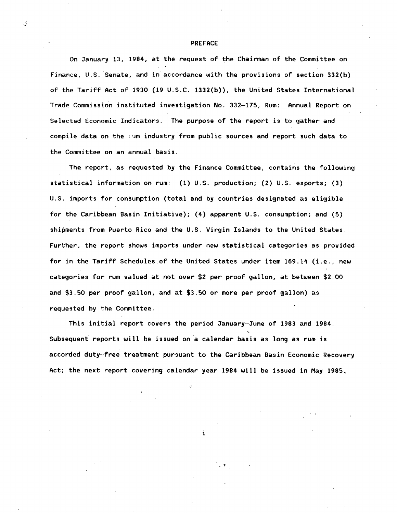#### PREFACE

'J

On January 13, 1984, at the request of the Chairman of the Committee on Finance, U.S. Senate, and in accordance with the provisions of section 332(b) of the Tariff Act of 1930 (19 U.S.C. 1332(b)), the United States International Trade Commission instituted investigation No. 332-175, Rum: Annual Report on Selected Economic Indicators. The purpose of the report is to gather and compile data on the ; um industry from public sources and report such data to the Committee on an annual basis.

The report, as requested by the Finance Committee, contains the following statistical information on rum: (1) U.S. production; (2) U.S. exports; (3) U.S. imports for consumption (total and by countries designated as eligible for the Caribbean Basin Initiative); (4) apparent U.S. consumption; and (5) shipments from Puerto Rico and the U.S. Virgin Islands to the United States. Further, the report shows imports under new statistical categories as provided for in the Tariff Schedules of the United States under item- 169.14 (i.e., new categories for rum valued at not over \$2 per proof gallon, at between \$2.00 and \$3.50 per proof gallon, and at \$3.50 or more per proof gallon) as requested by the Committee.

This initial report covers the period January-June of 1983 and 1984. Subsequent reports will be issued on a calendar basis as long as rum is accorded duty-free treatment pursuant to the Caribbean Basin Economic Recovery Act; the next report covering calendar year 1984 will be issued in May 1985.,

i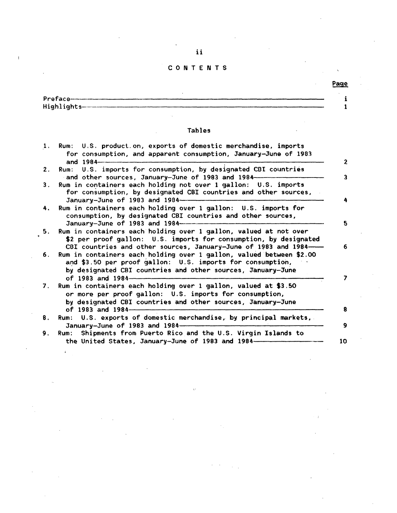# C 0 N T E N T S

Page  $\ddot{\phantom{a}}$ Prefacei Highlights-1

# Tables

|    | 1. Rum: U.S. product.on, exports of domestic merchandise, imports   |
|----|---------------------------------------------------------------------|
|    | for consumption, and apparent consumption, January-June of 1983     |
|    | and 1984                                                            |
|    | 2. Rum: U.S. imports for consumption, by designated CBI countries   |
|    | and other sources, January-June of 1983 and 1984------              |
| 3. | Rum in containers each holding not over 1 gallon: U.S. imports      |
|    | for consumption, by designated CBI countries and other sources,     |
|    | January-June of 1983 and 1984-                                      |
| 4. | Rum in containers each holding over 1 gallon: U.S. imports for      |
|    | consumption, by designated CBI countries and other sources,         |
|    | January-June of 1983 and 1984-----                                  |
| 5. | Rum in containers each holding over 1 gallon, valued at not over    |
|    | \$2 per proof gallon: U.S. imports for consumption, by designated   |
|    | CBI countries and other sources, January-June of 1983 and 1984-     |
| 6. | Rum in containers each holding over 1 gallon, valued between \$2.00 |
|    | and \$3.50 per proof gallon: U.S. imports for consumption,          |
|    | by designated CBI countries and other sources, January-June         |
|    | of 1983 and 1984-                                                   |
| 7. | Rum in containers each holding over 1 gallon, valued at \$3.50      |
|    | or more per proof gallon: U.S. imports for consumption,             |
|    | by designated CBI countries and other sources, January-June         |
|    | of 1983 and 1984-                                                   |
| 8. | Rum: U.S. exports of domestic merchandise, by principal markets,    |
|    | January-June of 1983 and 1984-                                      |
| 9. | Rum: Shipments from Puerto Rico and the U.S. Virgin Islands to      |
|    | the United States, January-June of 1983 and 1984------              |

 $\ddot{\phantom{a}}$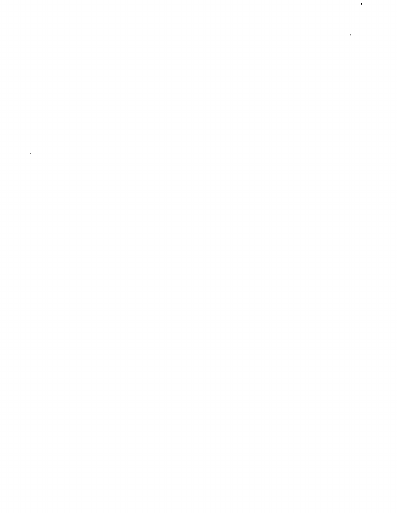$\sim 100$  $\sim 1000$  $\mathcal{L}(\mathcal{L}^{\mathcal{L}})$  and  $\mathcal{L}(\mathcal{L}^{\mathcal{L}})$  and  $\mathcal{L}(\mathcal{L}^{\mathcal{L}})$  $\label{eq:2.1} \frac{1}{\sqrt{2}}\int_{\mathbb{R}^3}\frac{1}{\sqrt{2}}\left(\frac{1}{\sqrt{2}}\right)^2\frac{1}{\sqrt{2}}\left(\frac{1}{\sqrt{2}}\right)^2\frac{1}{\sqrt{2}}\left(\frac{1}{\sqrt{2}}\right)^2.$  $\label{eq:2.1} \begin{split} \mathcal{L}_{\text{max}}(\mathbf{r}) = \mathcal{L}_{\text{max}}(\mathbf{r}) \mathcal{L}_{\text{max}}(\mathbf{r}) \mathcal{L}_{\text{max}}(\mathbf{r}) \mathcal{L}_{\text{max}}(\mathbf{r}) \mathcal{L}_{\text{max}}(\mathbf{r}) \mathcal{L}_{\text{max}}(\mathbf{r}) \mathcal{L}_{\text{max}}(\mathbf{r}) \mathcal{L}_{\text{max}}(\mathbf{r}) \mathcal{L}_{\text{max}}(\mathbf{r}) \mathcal{L}_{\text{max}}(\mathbf{r}) \mathcal{L}_{\text{max}}(\mathbf{r}) \$  $\label{eq:1} \nabla \mathbf{X} = \nabla \mathbf{X} + \nabla \mathbf{X} + \nabla \mathbf{X} + \nabla \mathbf{X} + \nabla \mathbf{X} + \nabla \mathbf{X} + \nabla \mathbf{X} + \nabla \mathbf{X} + \nabla \mathbf{X} + \nabla \mathbf{X} + \nabla \mathbf{X} + \nabla \mathbf{X} + \nabla \mathbf{X} + \nabla \mathbf{X} + \nabla \mathbf{X} + \nabla \mathbf{X} + \nabla \mathbf{X} + \nabla \mathbf{X} + \nabla$  $\label{eq:2.1} \mathcal{F}^{\text{max}}_{\text{max}}(\mathcal{F}^{\text{max}}_{\text{max}})$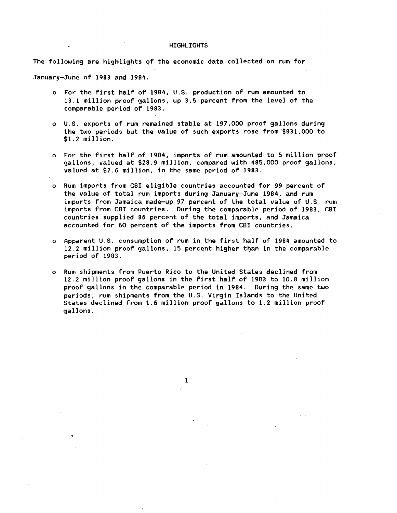#### **HIGHLIGHTS**

The following are highlights of the economic data collected on rum for

January-June of 1983 and 1984.

- o For the first half of 1984, U.S. production of rum amounted to 13.1 million proof gallons, up 3.5 percent from the level of the comparable period of 1983.
- o U.S. exports of rum remained stable at 197,000 proof gallons during the two periods but the value of such exports rose from \$831,000 to \$1.2 million.
- o For the first half of 1984, imports of rum amounted to 5 million proof gallons, valued at \$28.9 million, compared with 485,000 proof gallons, valued at \$2.6 million, in the same period of 1983.
- o Rum imports from CBI eligible countries accounted for 99 percent of the value of total rum imports during January-June 1984, and rum imports from Jamaica made-up 97 percent of the total value of U.S. rum imports from CBI countries. During the comparable period of 1983, CBI countries supplied 86 percent of the total imports, and Jamaica accounted for 60 percent of the imports from CBI countries.
- o Apparent U.S. consumption of rum in the first half of 1984 amounted to 12.2 million proof gallons, 15 percent higher than in the comparable period of 1983.
- o Rum shipments from Puerto Rico to the United States declined from 12.2 million proof gallons in the first half of 1983 to 10.8 million proof gallons in the comparable period in 1984. During the same two periods, rum shipments from the U.S. Virgin Islands to the United States declined from 1.6 million proof gallons to 1.2 million proof gallons.

1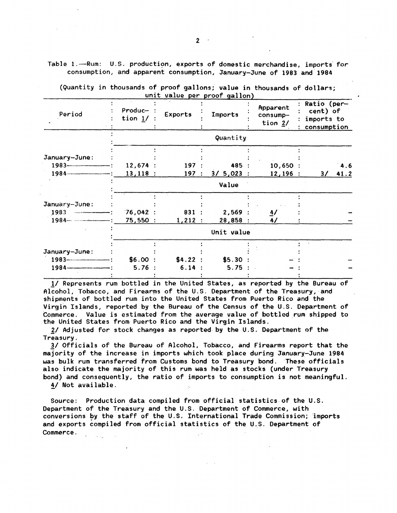Table 1. --- Rum: U.S. production, exports of domestic merchandise, imports for consumption, and apparent consumption, January-June of 1983 and 1984

|                                                                                                                                                                                                                                                                                                                                            |                      |           | unit value per proof gallon) |                                   |                                                      |
|--------------------------------------------------------------------------------------------------------------------------------------------------------------------------------------------------------------------------------------------------------------------------------------------------------------------------------------------|----------------------|-----------|------------------------------|-----------------------------------|------------------------------------------------------|
| Period                                                                                                                                                                                                                                                                                                                                     | Produc-<br>tion $1/$ | Exports   | Imports                      | Apparent<br>consump-<br>tion $2/$ | Ratio (per-<br>cent) of<br>imports to<br>consumption |
|                                                                                                                                                                                                                                                                                                                                            |                      |           | Quantity                     |                                   |                                                      |
|                                                                                                                                                                                                                                                                                                                                            |                      |           |                              |                                   |                                                      |
| January-June:                                                                                                                                                                                                                                                                                                                              |                      |           |                              |                                   |                                                      |
|                                                                                                                                                                                                                                                                                                                                            | 12,674:              | 197       | 485 :                        | 10,650:                           | 4.6                                                  |
| $1984$ $\cdots$ $\cdots$ $\cdots$ $\cdots$ $\cdots$ $\cdots$ $\cdots$ $\cdots$ $\cdots$ $\cdots$ $\cdots$ $\cdots$ $\cdots$ $\cdots$ $\cdots$ $\cdots$ $\cdots$ $\cdots$ $\cdots$ $\cdots$ $\cdots$ $\cdots$ $\cdots$ $\cdots$ $\cdots$ $\cdots$ $\cdots$ $\cdots$ $\cdots$ $\cdots$ $\cdots$ $\cdots$ $\cdots$ $\cdots$ $\cdots$ $\cdots$ | $13,118$ :           | 197:      | $3/5,023$ :                  | 12,196:                           | 41.2<br>3/                                           |
|                                                                                                                                                                                                                                                                                                                                            |                      |           | Value                        |                                   |                                                      |
|                                                                                                                                                                                                                                                                                                                                            |                      |           |                              |                                   |                                                      |
| January-June:                                                                                                                                                                                                                                                                                                                              |                      |           |                              |                                   |                                                      |
| $1983$ $\cdots$ $\cdots$ $\cdots$                                                                                                                                                                                                                                                                                                          | 76,042:              | 831:      | 2,569:                       | $\frac{4}{ }$                     |                                                      |
| $1984 -$                                                                                                                                                                                                                                                                                                                                   | 75,550:              | $1,212$ : | 28,858:                      | 4/                                |                                                      |
|                                                                                                                                                                                                                                                                                                                                            | Unit value           |           |                              |                                   |                                                      |
|                                                                                                                                                                                                                                                                                                                                            |                      |           |                              |                                   |                                                      |
| January-June:                                                                                                                                                                                                                                                                                                                              |                      |           |                              |                                   |                                                      |
|                                                                                                                                                                                                                                                                                                                                            | \$6.00:              | \$4.22 :  | \$5.30:                      |                                   |                                                      |
|                                                                                                                                                                                                                                                                                                                                            | 5.76:                | 6.14:     | 5.75                         |                                   |                                                      |
|                                                                                                                                                                                                                                                                                                                                            |                      |           |                              |                                   |                                                      |

(Quantity in thousands of proof gallons; value in thousands of dollars;

*11* Represents rum bottled in the United States, as reported by the Bureau of Alcohol, Tobacco, and Firearms of the U.S. Department of the Treasury, and shipments of bottled rum into the United States from Puerto Rico and the Virgin Islands, reported by the Bureau of the Census of the U.S. Department of Commerce. Value is estimated from the average value of bottled rum shipped to the United States from Puerto Rico and the Virgin Islands.

*'fl* Adjusted for stock changes as reported by the U.S. Department of the Treasury.

*11* Officials of the Bureau of Alcohol, Tobacco, and Firearms report that the majority of the increase in imports which took place during January-June 1984 was bulk rum transferred from Customs bond to Treasury bond. These officials also indicate the majority of this rum was held as stocks (under Treasury bond) and consequently, the ratio of imports to consumption is not meaningful.

4/ Not available.

Source: Production data compiled from official statistics of the U.S. Department of the Treasury and the U.S. Department of Commerce, with conversions by the staff of the U.S. International Trade Commission; 'imports and exports compiled from official statistics of the U.S. Department of Commerce.

 $2 \rightarrow$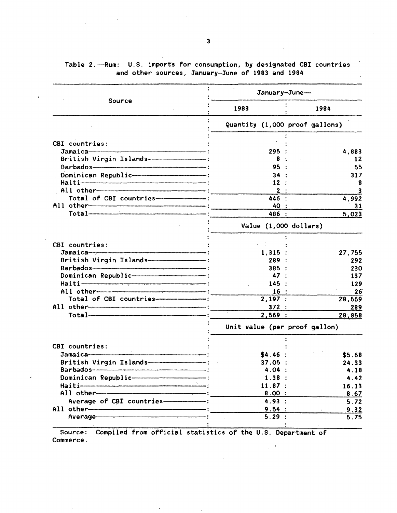|                                                | January-June-                  |                                       |  |
|------------------------------------------------|--------------------------------|---------------------------------------|--|
| Source                                         | 1983                           | 1984                                  |  |
|                                                | Quantity (1,000 proof gallons) |                                       |  |
| CBI countries:                                 |                                |                                       |  |
|                                                | 295:                           | 4,883                                 |  |
| British Virgin Islands-----------------------  | 8:                             | 12                                    |  |
|                                                | 95:                            | 55                                    |  |
|                                                | 34:                            | 317                                   |  |
|                                                | 12:                            | 8                                     |  |
|                                                | 2:                             | 3                                     |  |
| Total of CBI countries-------------------      | 446:                           | 4,992                                 |  |
|                                                | 40 :                           | $\begin{array}{ccc} & 31 \end{array}$ |  |
|                                                | 486 :                          | 5,023                                 |  |
|                                                | Value (1,000 dollars)          |                                       |  |
| CBI countries:                                 |                                |                                       |  |
|                                                | $1,315$ :                      | 27,755                                |  |
| British Virgin Islands------------------------ | 289 :                          | 292                                   |  |
|                                                | 385:                           | 230                                   |  |
|                                                | 47:                            | 137                                   |  |
|                                                | 145:                           | 129                                   |  |
|                                                | 16:                            | 26                                    |  |
|                                                | 2,197:                         | 28,569                                |  |
|                                                | 372:                           | 289                                   |  |
|                                                | 2,569:                         | 28,858                                |  |
|                                                | Unit value (per proof gallon)  |                                       |  |
| CBI countries:                                 |                                |                                       |  |
|                                                | \$4.46:                        | \$5.68                                |  |
|                                                | 37.05 :                        | 24.33                                 |  |
|                                                | 4.04 :                         | 4.18                                  |  |
| Dominican Republic--------------------------   | 1.38:                          | 4.42                                  |  |
|                                                | 11.87:                         | 16.13                                 |  |
|                                                | 8.00 :                         | 8.67                                  |  |
| Average of CBI countries---------              | 4.93:                          | 5.72                                  |  |
|                                                | 9.54 :                         | 9.32<br>$\epsilon=2$ .                |  |
|                                                | 5.29:                          | 5.75                                  |  |

Table 2.-Rum: U.S. imports for consumption, by designated CBI countries and other sources, January-June of 1983 and 1984

Source: Compiled from official statistics of the U.S. Department of Commerce.  $\sim 10^{-4}$ 

 $\overline{a}$ 

 $\omega_{\rm{max}}$ 

 $\ddot{\phantom{0}}$ 

 $\sim$ 

 $\ddot{\phantom{0}}$ 

 $\ddot{\phantom{a}}$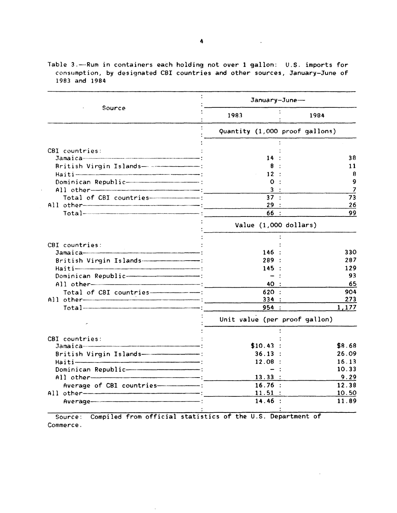Table 3.-Rum in containers each holding not over 1 gallon: U.S. imports for consumption, by designated CBI countries and other sources, January-June of 1983 and 1984

| January-June-                  |  |  |
|--------------------------------|--|--|
| 1984                           |  |  |
| Quantity (1,000 proof gallons) |  |  |
|                                |  |  |
| 38                             |  |  |
| 11                             |  |  |
| 8                              |  |  |
| 9                              |  |  |
| 7                              |  |  |
| 73                             |  |  |
| 26                             |  |  |
| 99                             |  |  |
| Value (1,000 dollars)          |  |  |
|                                |  |  |
| 330                            |  |  |
| 287                            |  |  |
| 129                            |  |  |
| 93                             |  |  |
| 65                             |  |  |
| 904                            |  |  |
| 273                            |  |  |
| 1,177                          |  |  |
| Unit value (per proof gallon)  |  |  |
|                                |  |  |
| \$8.68                         |  |  |
| 26.09                          |  |  |
| 16.13                          |  |  |
| 10.33                          |  |  |
| 9.29                           |  |  |
| 12.38                          |  |  |
| 10.50                          |  |  |
| 11.89                          |  |  |
|                                |  |  |

 $\bar{\mathcal{A}}$ 

Source: Compiled from official statistics of the U.S. Department of Commerce.

 $\bar{z}$ 

 $\sim$ 

 $\mathcal{L}^{\text{max}}_{\text{max}}$  and  $\mathcal{L}^{\text{max}}_{\text{max}}$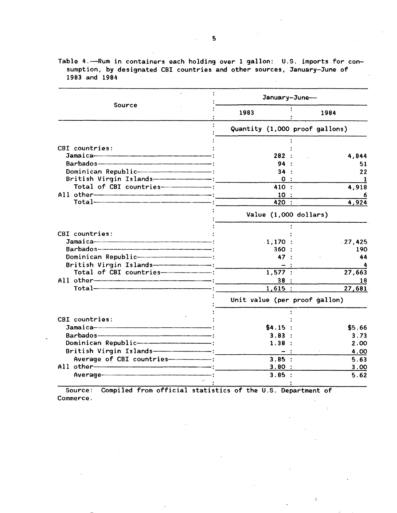Table 4. --- Rum in containers each holding over 1 gallon: U.S. imports for consumption, by designated CBI countries and other sources, January-June of 1983 and 1994

| Source                                          | January-June-                  |                  |  |
|-------------------------------------------------|--------------------------------|------------------|--|
|                                                 | 1983                           | 1984             |  |
|                                                 | Quantity (1,000 proof gallons) |                  |  |
| CBI countries:                                  |                                |                  |  |
|                                                 | 282 :                          | 4,844            |  |
|                                                 | 94 :                           | 51               |  |
|                                                 | 34 :                           | 22               |  |
|                                                 | $\mathbf{o}$ :                 |                  |  |
| Total of CBI countries------------------        | 410:                           | 4,918            |  |
|                                                 | 10:                            |                  |  |
|                                                 | 420 :                          | 4,924            |  |
|                                                 | Value (1,000 dollars)          |                  |  |
| CBI countries:                                  |                                |                  |  |
|                                                 | $1,170$ :                      |                  |  |
|                                                 | 360:                           | $-27,425$<br>190 |  |
|                                                 | 47 :                           | 44               |  |
| British Virgin Islands------------------------- |                                |                  |  |
| Total of CBI countries-------------------       | 1,577:                         | 27,663           |  |
|                                                 | 38:                            | 18               |  |
|                                                 | $1,615$ :                      | 27,681           |  |
|                                                 | Unit value (per proof gallon)  |                  |  |
|                                                 |                                |                  |  |
| CBI countries:                                  |                                |                  |  |
|                                                 | \$4.15:                        | \$5.66           |  |
|                                                 | 3.83 :<br>1.38:                | 3.73             |  |
|                                                 |                                | 2.00             |  |
|                                                 | $-1$                           | 4.00             |  |
| Average of CBI countries---------------         | 3.85:                          | 5.63             |  |
|                                                 | 3.80 :                         | 3.00             |  |
|                                                 | 3.85:                          | 5.62             |  |

Source: Compiled from official statistics of the U.S. Department of Commerce.

 $\sim$ 

 $\pm$ 

 $\mathbf{f}% _{0}$ 

 $5<sub>5</sub>$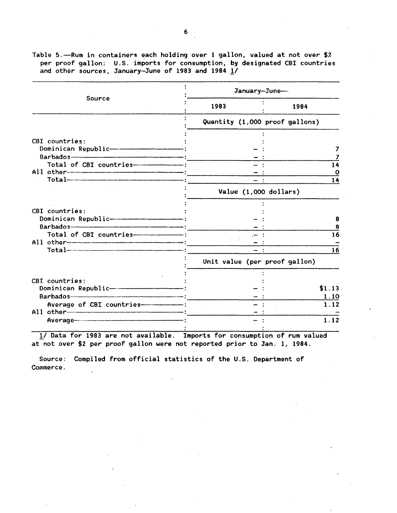|                                              | January-June-                  |        |  |
|----------------------------------------------|--------------------------------|--------|--|
| Source                                       | 1983                           | 1984   |  |
|                                              | Quantity (1,000 proof gallons) |        |  |
| $CBT$ countries:                             |                                |        |  |
|                                              |                                |        |  |
|                                              |                                |        |  |
| Total of CBI countries-----------------      |                                |        |  |
|                                              |                                | O      |  |
|                                              |                                | 14     |  |
|                                              | Value (1,000 dollars)          |        |  |
| $CBT$ countries:                             |                                |        |  |
|                                              |                                | 8      |  |
|                                              |                                | 8      |  |
| Total of CBI countries---------------------- |                                | 16     |  |
|                                              |                                |        |  |
|                                              |                                | 16     |  |
|                                              | Unit value (per proof gallon)  |        |  |
|                                              |                                |        |  |
| CBI countries:                               |                                |        |  |
|                                              |                                | \$1.13 |  |
|                                              |                                | 1.10   |  |
| Average of CBI countries----------------     |                                | 1.12   |  |
|                                              |                                |        |  |
|                                              |                                | 1.12   |  |
|                                              |                                |        |  |

Table 5.-Rum in containers each holding over 1 gallon, valued at not over \$2 per proof gallon: U.S. imports for consumption, by designated CBI countries and other sources, January-June of 1983 and 1984  $1/$ 

!/ Data for 1983 are not available. Imports for consumption of rum valued at not over \$2 per proof gallon were not reported prior to Jan. l, 1984.

Source: Compiled from official statistics of the U.S. Department of Commerce.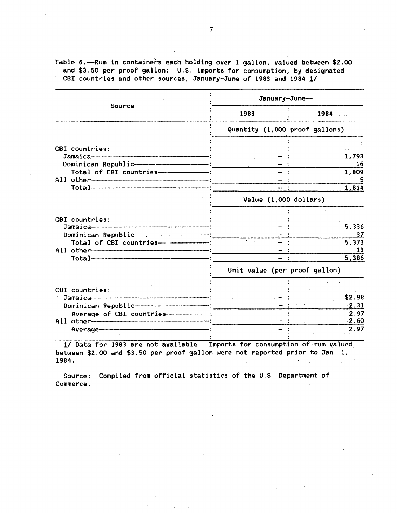Table 6.·-Rum in containers each holding over 1 gallon, valued between.\$2.oo and \$3. 50 per proof gallon: U.S. imports for consumption, by designated CBI countries and other sources, January-June of 1983 and 1984  $1/$ 

|                                             | January-June-                  |                           |  |
|---------------------------------------------|--------------------------------|---------------------------|--|
| <b>Source</b>                               | 1983                           | .1984                     |  |
|                                             | Quantity (1,000 proof gallons) |                           |  |
| CBI countries:                              |                                |                           |  |
|                                             |                                | 1,793                     |  |
|                                             |                                | 16                        |  |
| Total of CBI countries-------------------   |                                | 1,809                     |  |
|                                             |                                |                           |  |
|                                             |                                | 1,814                     |  |
|                                             | Value (1,000 dollars)          |                           |  |
|                                             |                                |                           |  |
| CBI countries:                              |                                |                           |  |
|                                             |                                | 5,336                     |  |
|                                             |                                | 37                        |  |
| Total of CBI countries--------------------- |                                | 5,373                     |  |
|                                             |                                | -13                       |  |
|                                             |                                | 5,386                     |  |
|                                             | Unit value (per proof gallon)  |                           |  |
|                                             |                                |                           |  |
| CBI countries:                              |                                |                           |  |
|                                             |                                | $\frac{1}{2}$ \$2.98      |  |
|                                             |                                | 2.31<br>$\overline{2.97}$ |  |
| Average of CBI countries--------------      |                                | $\sim$ 2.60               |  |
|                                             |                                | 2.97                      |  |
|                                             |                                |                           |  |

 $1/$  Data for 1983 are not available. Imports for consumption of rum valued between \$2.00 and \$3.50 per proof gallon were not reported prior to Jan. 1, 1984.  $\mathcal{F}(\mathcal{A})$  and  $\mathcal{F}(\mathcal{A})$ 

Source: Compiled from official statistics of the U.S. Department of Commerce.

7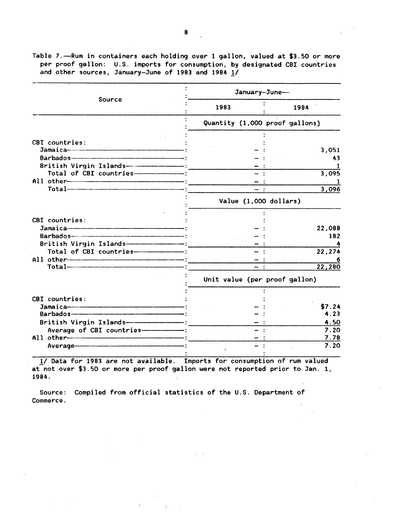|                                            | January-June-                  |  |  |
|--------------------------------------------|--------------------------------|--|--|
| Source                                     | 1983<br>1984                   |  |  |
|                                            | Quantity (1,000 proof gallons) |  |  |
| CBI countries:                             |                                |  |  |
|                                            | 3,051                          |  |  |
|                                            | 43                             |  |  |
|                                            |                                |  |  |
| Total of CBI countries-------------------- | 3,095                          |  |  |
|                                            |                                |  |  |
|                                            | 3,096                          |  |  |
|                                            | Value (1,000 dollars)          |  |  |
|                                            |                                |  |  |
| CBI countries:                             |                                |  |  |
|                                            | 22,088                         |  |  |
|                                            | 182                            |  |  |
|                                            |                                |  |  |
| Total of CBI countries-------------------- | 22,274                         |  |  |
|                                            |                                |  |  |
|                                            | 22,280<br>$-1$                 |  |  |
|                                            | Unit value (per proof gallon)  |  |  |
| CBI countries:                             |                                |  |  |
|                                            | \$7.24                         |  |  |
|                                            | 4.23                           |  |  |
|                                            | 4.50                           |  |  |
| Average of CBI countries---------------    | 7.20                           |  |  |
|                                            | 7.78                           |  |  |
|                                            | 7.20                           |  |  |

Table 7.-Rum in containers each holding over 1 gallon, valued at \$3.50 or more per proof gallon: U.S. imports for consumption, by designated CBI countries and other sources, January-June of 1983 and 1984 1/

1/ Data for 1983 are not available. Imports for consumption of rum valued at not over \$3.50 or more per proof gallon were not reported prior to Jan. 1, 1984.

Source: Compiled from official statistics of the U.S. Department of Commerce.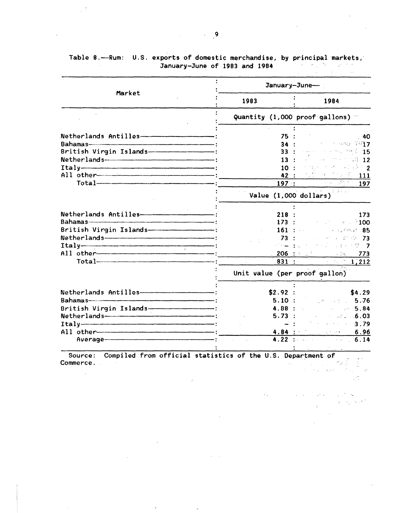| January-June-   |                                                                                                                                                                                                  |
|-----------------|--------------------------------------------------------------------------------------------------------------------------------------------------------------------------------------------------|
| 1983            | 1984                                                                                                                                                                                             |
|                 | Quantity (1,000 proof gallons)                                                                                                                                                                   |
| 75.             | 40<br>$\sim$ 1000 $\sim$ 1000 $\sim$ 10117                                                                                                                                                       |
| 13 <sup>7</sup> | 15<br>$\therefore$ 12                                                                                                                                                                            |
|                 | $\overline{2}$<br>111                                                                                                                                                                            |
|                 | 197<br>sa shekarar 200                                                                                                                                                                           |
|                 | 173<br>$173:$ $100$<br>161 Engine Construction<br>85<br>73 : Albert Albert Albert (1988)<br>73<br>ページ・エネス 大島 一才<br>206 : Participation (2010)<br>773<br>831: 1,212                               |
|                 | \$4.29<br>$5.10$ : $\frac{1}{2}$ , $\frac{1}{2}$ , $\frac{1}{2}$<br>5.76<br>4.88 : 5.84<br>$\therefore$ 6.03<br>$-3.79$<br>6.96<br>4.22 :<br>6.14                                                |
|                 | 34:<br>33:<br>10:<br>42:<br>197:<br>Value (1,000 dollars)<br>218:<br>$\mathcal{O}(\mathcal{O}(\log n))$ and $\mathcal{O}(\log n)$<br>Unit value (per proof gallon)<br>\$2.92:<br>5.73:<br>4.84 : |

Table 8.-Rum: U.S. exports of domestic merchandise, by principal markets, January-June of 1983 and 1984  $\sim$ 

 $\sim 100$ 

 $\sim$ 

 $\sim 10^{-11}$ 

 $\sim$ 

 $\sim 10$ 

 $\mathcal{L}^{\mathcal{L}}(\mathcal{L}^{\mathcal{L}}(\mathcal{L}^{\mathcal{L}}(\mathcal{L}^{\mathcal{L}}))$ 

 $\ddot{\phantom{a}}$ 

 $\label{eq:3.1} \mathcal{L}(\mathcal{A}^{\mathcal{A}}_{\mathcal{A}}(\mathcal{A}^{\mathcal{A}}_{\mathcal{A}})) = \mathcal{L}(\mathcal{A}^{\mathcal{A}}_{\mathcal{A}}(\mathcal{A}^{\mathcal{A}}_{\mathcal{A}})) = \mathcal{L}(\mathcal{A}^{\mathcal{A}}_{\mathcal{A}}(\mathcal{A}^{\mathcal{A}}_{\mathcal{A}}))$ 

 $\sim 100$ 

 $\sim$   $\sim$   $\sim$   $\sim$   $\sim$   $\sim$   $\sim$   $\sim$ 

 $\sim 100$ 

 $\sim 10$ 

 $\frac{1}{2}$  ,  $\frac{1}{2}$ 

 $\sim$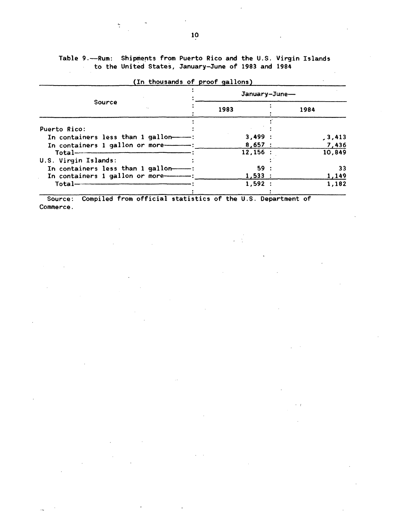Table 9.-Rum: Shipments from Puerto Rico and the U.S. Virgin Islands to the United States, January-June of 1983 and 1984  $\Delta \sim 10^4$ 

| (In thousands of proof gallons)        |               |        |
|----------------------------------------|---------------|--------|
|                                        | January-June- |        |
| Source                                 | 1983          | 1984   |
|                                        |               |        |
| Puerto Rico:                           |               |        |
| In containers less than 1 gallon-      | 3,499:        | 3,413  |
| In containers 1 gallon or more-----    | 8,657:        | 7,436  |
| Total                                  | 12,156:       | 10,849 |
| U.S. Virgin Islands:                   |               |        |
| In containers less than 1 gallon---    | 59:           | 33     |
| In containers 1 gallon or more $---$ : | 1,533:        | 1,149  |
|                                        | 1,592:        | 1,182  |
|                                        |               |        |

 $\ddotsc$ 

Source: Compiled from official statistics of the U.S. Department of Commerce.

 $\frac{4}{7}$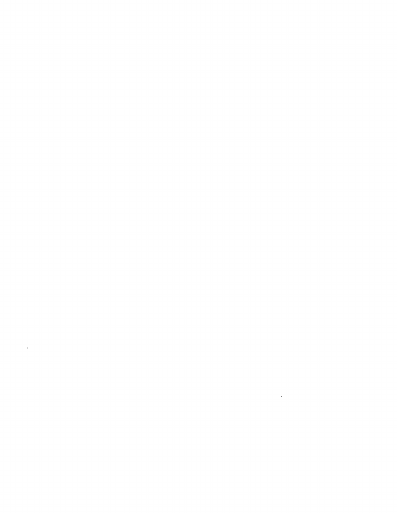$\label{eq:2.1} \frac{1}{\sqrt{2\pi}}\int_{0}^{\infty}\frac{1}{\sqrt{2\pi}}\left(\frac{1}{\sqrt{2\pi}}\right)^{2\alpha} \frac{1}{\sqrt{2\pi}}\int_{0}^{\infty}\frac{1}{\sqrt{2\pi}}\left(\frac{1}{\sqrt{2\pi}}\right)^{\alpha} \frac{1}{\sqrt{2\pi}}\frac{1}{\sqrt{2\pi}}\int_{0}^{\infty}\frac{1}{\sqrt{2\pi}}\frac{1}{\sqrt{2\pi}}\frac{1}{\sqrt{2\pi}}\frac{1}{\sqrt{2\pi}}\frac{1}{\sqrt{2\pi}}\frac{1}{\sqrt{2\$ 

 $\mathcal{A}^{\text{max}}$  and  $\mathcal{A}^{\text{max}}$ 

 $\label{eq:2.1} \frac{1}{\sqrt{2}}\left(\frac{1}{\sqrt{2}}\right)^2\left(\frac{1}{\sqrt{2}}\right)^2\left(\frac{1}{\sqrt{2}}\right)^2\left(\frac{1}{\sqrt{2}}\right)^2.$